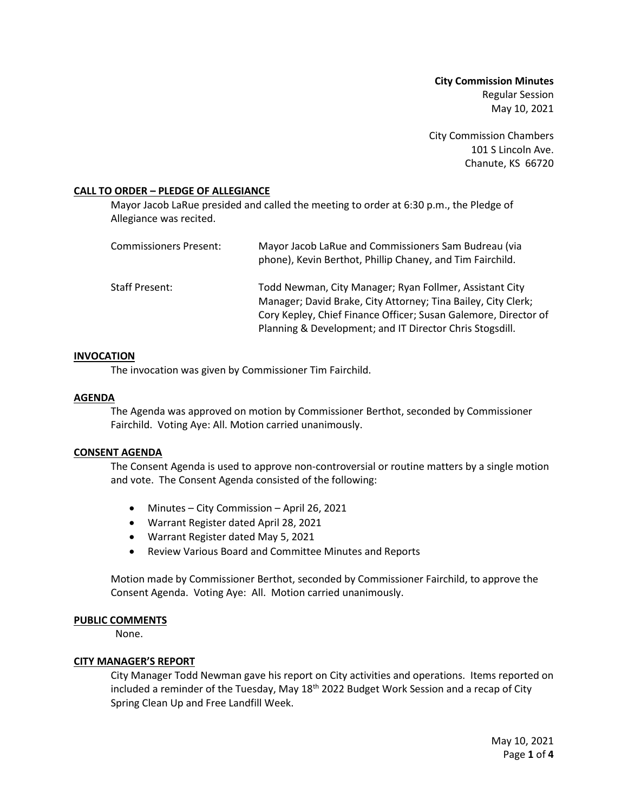**City Commission Minutes** Regular Session May 10, 2021

City Commission Chambers 101 S Lincoln Ave. Chanute, KS 66720

## **CALL TO ORDER – PLEDGE OF ALLEGIANCE**

Mayor Jacob LaRue presided and called the meeting to order at 6:30 p.m., the Pledge of Allegiance was recited.

| <b>Commissioners Present:</b> | Mayor Jacob LaRue and Commissioners Sam Budreau (via<br>phone), Kevin Berthot, Phillip Chaney, and Tim Fairchild.                                                                                                                                       |
|-------------------------------|---------------------------------------------------------------------------------------------------------------------------------------------------------------------------------------------------------------------------------------------------------|
| Staff Present:                | Todd Newman, City Manager; Ryan Follmer, Assistant City<br>Manager; David Brake, City Attorney; Tina Bailey, City Clerk;<br>Cory Kepley, Chief Finance Officer; Susan Galemore, Director of<br>Planning & Development; and IT Director Chris Stogsdill. |

## **INVOCATION**

The invocation was given by Commissioner Tim Fairchild.

## **AGENDA**

The Agenda was approved on motion by Commissioner Berthot, seconded by Commissioner Fairchild. Voting Aye: All. Motion carried unanimously.

## **CONSENT AGENDA**

The Consent Agenda is used to approve non-controversial or routine matters by a single motion and vote. The Consent Agenda consisted of the following:

- Minutes City Commission April 26, 2021
- Warrant Register dated April 28, 2021
- Warrant Register dated May 5, 2021
- Review Various Board and Committee Minutes and Reports

Motion made by Commissioner Berthot, seconded by Commissioner Fairchild, to approve the Consent Agenda. Voting Aye: All. Motion carried unanimously.

## **PUBLIC COMMENTS**

None.

## **CITY MANAGER'S REPORT**

City Manager Todd Newman gave his report on City activities and operations. Items reported on included a reminder of the Tuesday, May 18<sup>th</sup> 2022 Budget Work Session and a recap of City Spring Clean Up and Free Landfill Week.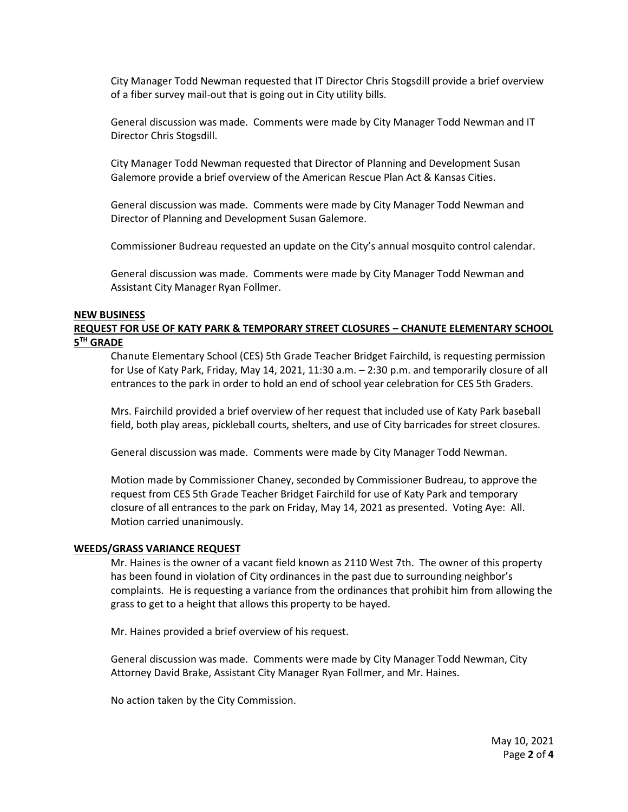City Manager Todd Newman requested that IT Director Chris Stogsdill provide a brief overview of a fiber survey mail-out that is going out in City utility bills.

General discussion was made. Comments were made by City Manager Todd Newman and IT Director Chris Stogsdill.

City Manager Todd Newman requested that Director of Planning and Development Susan Galemore provide a brief overview of the American Rescue Plan Act & Kansas Cities.

General discussion was made. Comments were made by City Manager Todd Newman and Director of Planning and Development Susan Galemore.

Commissioner Budreau requested an update on the City's annual mosquito control calendar.

General discussion was made. Comments were made by City Manager Todd Newman and Assistant City Manager Ryan Follmer.

## **NEW BUSINESS**

## **REQUEST FOR USE OF KATY PARK & TEMPORARY STREET CLOSURES – CHANUTE ELEMENTARY SCHOOL 5 TH GRADE**

Chanute Elementary School (CES) 5th Grade Teacher Bridget Fairchild, is requesting permission for Use of Katy Park, Friday, May 14, 2021, 11:30 a.m. – 2:30 p.m. and temporarily closure of all entrances to the park in order to hold an end of school year celebration for CES 5th Graders.

Mrs. Fairchild provided a brief overview of her request that included use of Katy Park baseball field, both play areas, pickleball courts, shelters, and use of City barricades for street closures.

General discussion was made. Comments were made by City Manager Todd Newman.

Motion made by Commissioner Chaney, seconded by Commissioner Budreau, to approve the request from CES 5th Grade Teacher Bridget Fairchild for use of Katy Park and temporary closure of all entrances to the park on Friday, May 14, 2021 as presented. Voting Aye: All. Motion carried unanimously.

## **WEEDS/GRASS VARIANCE REQUEST**

Mr. Haines is the owner of a vacant field known as 2110 West 7th. The owner of this property has been found in violation of City ordinances in the past due to surrounding neighbor's complaints. He is requesting a variance from the ordinances that prohibit him from allowing the grass to get to a height that allows this property to be hayed.

Mr. Haines provided a brief overview of his request.

General discussion was made. Comments were made by City Manager Todd Newman, City Attorney David Brake, Assistant City Manager Ryan Follmer, and Mr. Haines.

No action taken by the City Commission.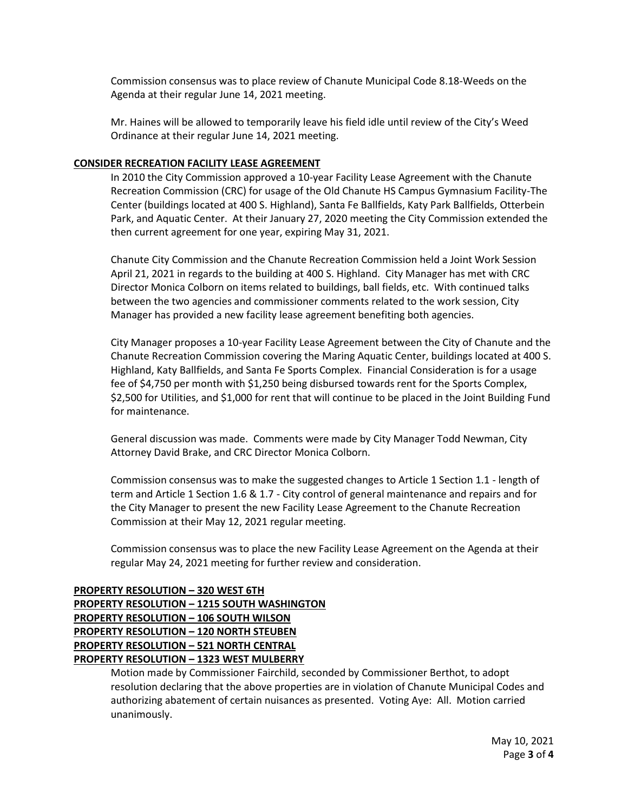Commission consensus was to place review of Chanute Municipal Code 8.18-Weeds on the Agenda at their regular June 14, 2021 meeting.

Mr. Haines will be allowed to temporarily leave his field idle until review of the City's Weed Ordinance at their regular June 14, 2021 meeting.

## **CONSIDER RECREATION FACILITY LEASE AGREEMENT**

In 2010 the City Commission approved a 10-year Facility Lease Agreement with the Chanute Recreation Commission (CRC) for usage of the Old Chanute HS Campus Gymnasium Facility-The Center (buildings located at 400 S. Highland), Santa Fe Ballfields, Katy Park Ballfields, Otterbein Park, and Aquatic Center. At their January 27, 2020 meeting the City Commission extended the then current agreement for one year, expiring May 31, 2021.

Chanute City Commission and the Chanute Recreation Commission held a Joint Work Session April 21, 2021 in regards to the building at 400 S. Highland. City Manager has met with CRC Director Monica Colborn on items related to buildings, ball fields, etc. With continued talks between the two agencies and commissioner comments related to the work session, City Manager has provided a new facility lease agreement benefiting both agencies.

City Manager proposes a 10-year Facility Lease Agreement between the City of Chanute and the Chanute Recreation Commission covering the Maring Aquatic Center, buildings located at 400 S. Highland, Katy Ballfields, and Santa Fe Sports Complex. Financial Consideration is for a usage fee of \$4,750 per month with \$1,250 being disbursed towards rent for the Sports Complex, \$2,500 for Utilities, and \$1,000 for rent that will continue to be placed in the Joint Building Fund for maintenance.

General discussion was made. Comments were made by City Manager Todd Newman, City Attorney David Brake, and CRC Director Monica Colborn.

Commission consensus was to make the suggested changes to Article 1 Section 1.1 - length of term and Article 1 Section 1.6 & 1.7 - City control of general maintenance and repairs and for the City Manager to present the new Facility Lease Agreement to the Chanute Recreation Commission at their May 12, 2021 regular meeting.

Commission consensus was to place the new Facility Lease Agreement on the Agenda at their regular May 24, 2021 meeting for further review and consideration.

# **PROPERTY RESOLUTION – 320 WEST 6TH PROPERTY RESOLUTION – 1215 SOUTH WASHINGTON PROPERTY RESOLUTION – 106 SOUTH WILSON PROPERTY RESOLUTION – 120 NORTH STEUBEN PROPERTY RESOLUTION – 521 NORTH CENTRAL PROPERTY RESOLUTION – 1323 WEST MULBERRY**

Motion made by Commissioner Fairchild, seconded by Commissioner Berthot, to adopt resolution declaring that the above properties are in violation of Chanute Municipal Codes and authorizing abatement of certain nuisances as presented. Voting Aye: All. Motion carried unanimously.